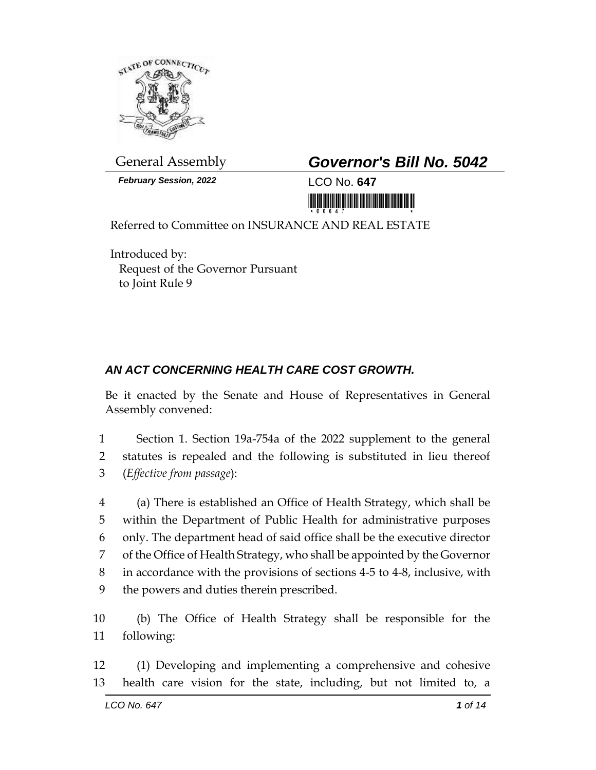

General Assembly *Governor's Bill No. 5042*

*February Session, 2022* LCO No. **647**



Referred to Committee on INSURANCE AND REAL ESTATE

Introduced by: Request of the Governor Pursuant to Joint Rule 9

## *AN ACT CONCERNING HEALTH CARE COST GROWTH.*

Be it enacted by the Senate and House of Representatives in General Assembly convened:

1 Section 1. Section 19a-754a of the 2022 supplement to the general 2 statutes is repealed and the following is substituted in lieu thereof 3 (*Effective from passage*):

 (a) There is established an Office of Health Strategy, which shall be within the Department of Public Health for administrative purposes only. The department head of said office shall be the executive director of the Office of Health Strategy, who shall be appointed by the Governor in accordance with the provisions of sections 4-5 to 4-8, inclusive, with the powers and duties therein prescribed.

10 (b) The Office of Health Strategy shall be responsible for the 11 following:

12 (1) Developing and implementing a comprehensive and cohesive 13 health care vision for the state, including, but not limited to, a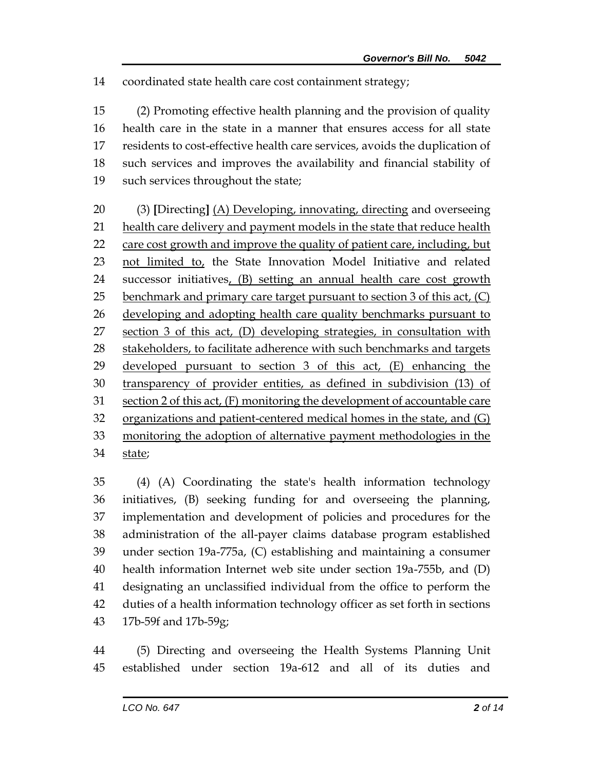coordinated state health care cost containment strategy;

 (2) Promoting effective health planning and the provision of quality health care in the state in a manner that ensures access for all state residents to cost-effective health care services, avoids the duplication of such services and improves the availability and financial stability of such services throughout the state;

 (3) **[**Directing**]** (A) Developing, innovating, directing and overseeing 21 health care delivery and payment models in the state that reduce health 22 care cost growth and improve the quality of patient care, including, but not limited to, the State Innovation Model Initiative and related successor initiatives, (B) setting an annual health care cost growth benchmark and primary care target pursuant to section 3 of this act, (C) developing and adopting health care quality benchmarks pursuant to section 3 of this act, (D) developing strategies, in consultation with 28 stakeholders, to facilitate adherence with such benchmarks and targets developed pursuant to section 3 of this act, (E) enhancing the transparency of provider entities, as defined in subdivision (13) of section 2 of this act, (F) monitoring the development of accountable care organizations and patient-centered medical homes in the state, and (G) monitoring the adoption of alternative payment methodologies in the state;

 (4) (A) Coordinating the state's health information technology initiatives, (B) seeking funding for and overseeing the planning, implementation and development of policies and procedures for the administration of the all-payer claims database program established under section 19a-775a, (C) establishing and maintaining a consumer health information Internet web site under section 19a-755b, and (D) designating an unclassified individual from the office to perform the duties of a health information technology officer as set forth in sections 17b-59f and 17b-59g;

 (5) Directing and overseeing the Health Systems Planning Unit established under section 19a-612 and all of its duties and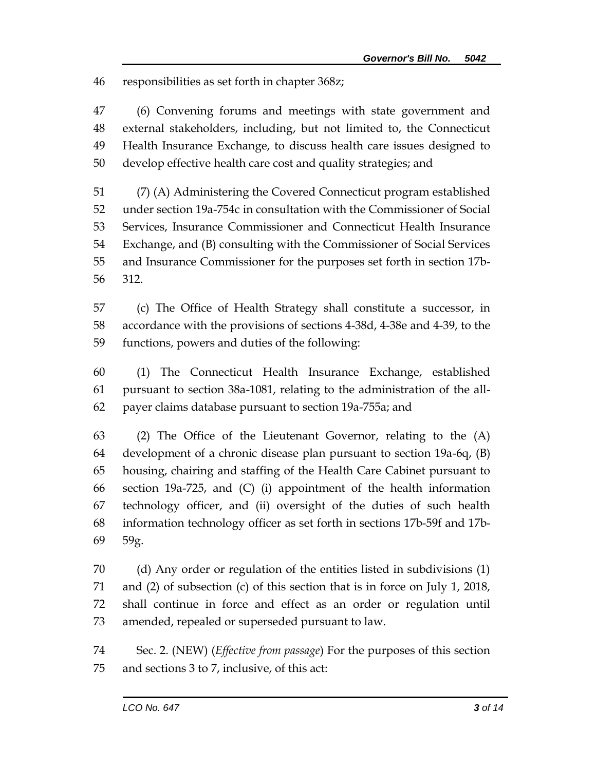responsibilities as set forth in chapter 368z;

 (6) Convening forums and meetings with state government and external stakeholders, including, but not limited to, the Connecticut Health Insurance Exchange, to discuss health care issues designed to develop effective health care cost and quality strategies; and

 (7) (A) Administering the Covered Connecticut program established under section 19a-754c in consultation with the Commissioner of Social Services, Insurance Commissioner and Connecticut Health Insurance Exchange, and (B) consulting with the Commissioner of Social Services and Insurance Commissioner for the purposes set forth in section 17b-312.

 (c) The Office of Health Strategy shall constitute a successor, in accordance with the provisions of sections 4-38d, 4-38e and 4-39, to the functions, powers and duties of the following:

 (1) The Connecticut Health Insurance Exchange, established pursuant to section 38a-1081, relating to the administration of the all-payer claims database pursuant to section 19a-755a; and

 (2) The Office of the Lieutenant Governor, relating to the (A) development of a chronic disease plan pursuant to section 19a-6q, (B) housing, chairing and staffing of the Health Care Cabinet pursuant to section 19a-725, and (C) (i) appointment of the health information technology officer, and (ii) oversight of the duties of such health information technology officer as set forth in sections 17b-59f and 17b-59g.

 (d) Any order or regulation of the entities listed in subdivisions (1) and (2) of subsection (c) of this section that is in force on July 1, 2018, shall continue in force and effect as an order or regulation until amended, repealed or superseded pursuant to law.

 Sec. 2. (NEW) (*Effective from passage*) For the purposes of this section and sections 3 to 7, inclusive, of this act: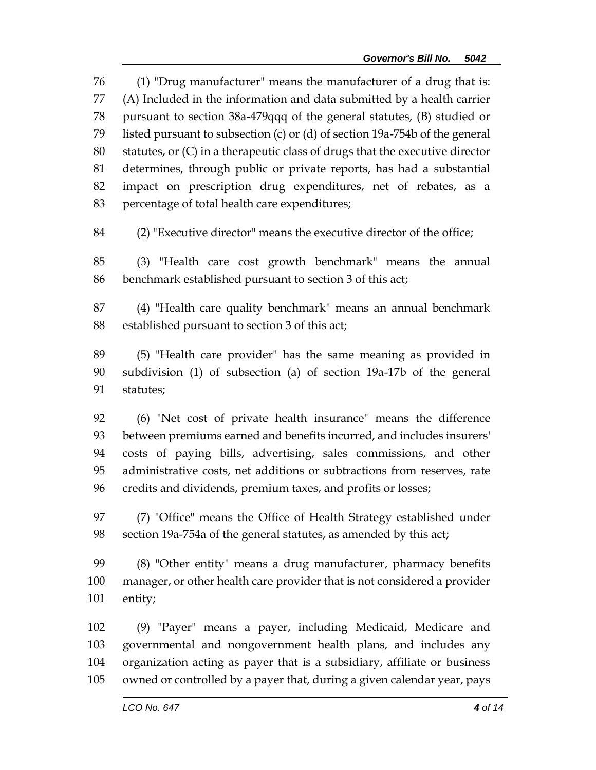(1) "Drug manufacturer" means the manufacturer of a drug that is: (A) Included in the information and data submitted by a health carrier pursuant to section 38a-479qqq of the general statutes, (B) studied or listed pursuant to subsection (c) or (d) of section 19a-754b of the general statutes, or (C) in a therapeutic class of drugs that the executive director determines, through public or private reports, has had a substantial impact on prescription drug expenditures, net of rebates, as a percentage of total health care expenditures;

(2) "Executive director" means the executive director of the office;

 (3) "Health care cost growth benchmark" means the annual benchmark established pursuant to section 3 of this act;

 (4) "Health care quality benchmark" means an annual benchmark established pursuant to section 3 of this act;

 (5) "Health care provider" has the same meaning as provided in subdivision (1) of subsection (a) of section 19a-17b of the general statutes;

 (6) "Net cost of private health insurance" means the difference between premiums earned and benefits incurred, and includes insurers' costs of paying bills, advertising, sales commissions, and other administrative costs, net additions or subtractions from reserves, rate credits and dividends, premium taxes, and profits or losses;

 (7) "Office" means the Office of Health Strategy established under section 19a-754a of the general statutes, as amended by this act;

 (8) "Other entity" means a drug manufacturer, pharmacy benefits manager, or other health care provider that is not considered a provider entity;

 (9) "Payer" means a payer, including Medicaid, Medicare and governmental and nongovernment health plans, and includes any organization acting as payer that is a subsidiary, affiliate or business owned or controlled by a payer that, during a given calendar year, pays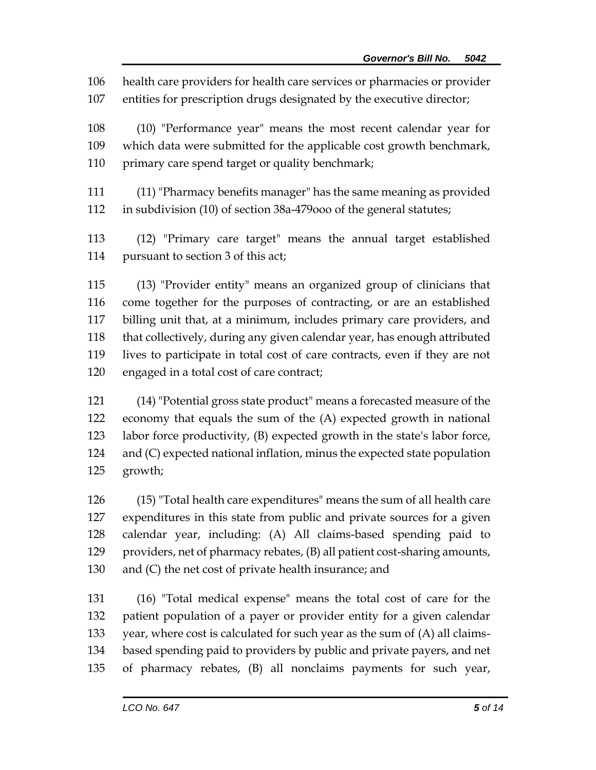health care providers for health care services or pharmacies or provider

entities for prescription drugs designated by the executive director;

 (10) "Performance year" means the most recent calendar year for which data were submitted for the applicable cost growth benchmark, 110 primary care spend target or quality benchmark;

 (11) "Pharmacy benefits manager" has the same meaning as provided in subdivision (10) of section 38a-479ooo of the general statutes;

 (12) "Primary care target" means the annual target established pursuant to section 3 of this act;

 (13) "Provider entity" means an organized group of clinicians that come together for the purposes of contracting, or are an established billing unit that, at a minimum, includes primary care providers, and that collectively, during any given calendar year, has enough attributed lives to participate in total cost of care contracts, even if they are not engaged in a total cost of care contract;

 (14) "Potential gross state product" means a forecasted measure of the economy that equals the sum of the (A) expected growth in national labor force productivity, (B) expected growth in the state's labor force, and (C) expected national inflation, minus the expected state population growth;

 (15) "Total health care expenditures" means the sum of all health care expenditures in this state from public and private sources for a given calendar year, including: (A) All claims-based spending paid to providers, net of pharmacy rebates, (B) all patient cost-sharing amounts, and (C) the net cost of private health insurance; and

 (16) "Total medical expense" means the total cost of care for the patient population of a payer or provider entity for a given calendar year, where cost is calculated for such year as the sum of (A) all claims- based spending paid to providers by public and private payers, and net of pharmacy rebates, (B) all nonclaims payments for such year,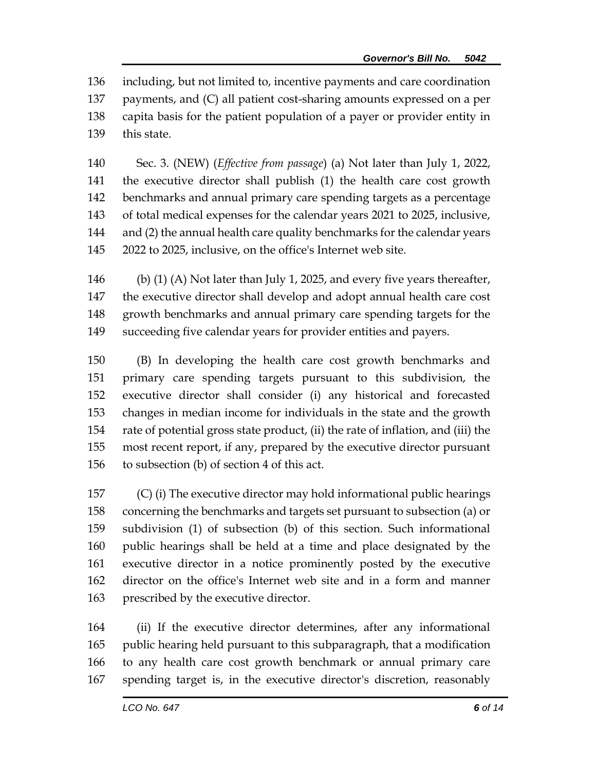including, but not limited to, incentive payments and care coordination payments, and (C) all patient cost-sharing amounts expressed on a per capita basis for the patient population of a payer or provider entity in this state.

 Sec. 3. (NEW) (*Effective from passage*) (a) Not later than July 1, 2022, the executive director shall publish (1) the health care cost growth benchmarks and annual primary care spending targets as a percentage of total medical expenses for the calendar years 2021 to 2025, inclusive, and (2) the annual health care quality benchmarks for the calendar years 2022 to 2025, inclusive, on the office's Internet web site.

 (b) (1) (A) Not later than July 1, 2025, and every five years thereafter, the executive director shall develop and adopt annual health care cost growth benchmarks and annual primary care spending targets for the succeeding five calendar years for provider entities and payers.

 (B) In developing the health care cost growth benchmarks and primary care spending targets pursuant to this subdivision, the executive director shall consider (i) any historical and forecasted changes in median income for individuals in the state and the growth rate of potential gross state product, (ii) the rate of inflation, and (iii) the most recent report, if any, prepared by the executive director pursuant to subsection (b) of section 4 of this act.

 (C) (i) The executive director may hold informational public hearings concerning the benchmarks and targets set pursuant to subsection (a) or subdivision (1) of subsection (b) of this section. Such informational public hearings shall be held at a time and place designated by the executive director in a notice prominently posted by the executive director on the office's Internet web site and in a form and manner prescribed by the executive director.

 (ii) If the executive director determines, after any informational public hearing held pursuant to this subparagraph, that a modification to any health care cost growth benchmark or annual primary care spending target is, in the executive director's discretion, reasonably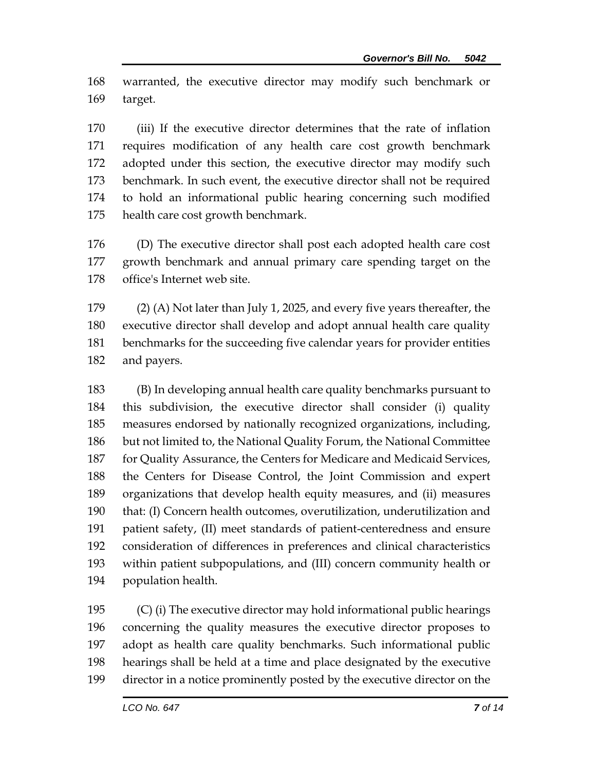warranted, the executive director may modify such benchmark or target.

 (iii) If the executive director determines that the rate of inflation requires modification of any health care cost growth benchmark adopted under this section, the executive director may modify such benchmark. In such event, the executive director shall not be required to hold an informational public hearing concerning such modified health care cost growth benchmark.

 (D) The executive director shall post each adopted health care cost growth benchmark and annual primary care spending target on the office's Internet web site.

 (2) (A) Not later than July 1, 2025, and every five years thereafter, the executive director shall develop and adopt annual health care quality benchmarks for the succeeding five calendar years for provider entities and payers.

 (B) In developing annual health care quality benchmarks pursuant to this subdivision, the executive director shall consider (i) quality measures endorsed by nationally recognized organizations, including, but not limited to, the National Quality Forum, the National Committee 187 for Quality Assurance, the Centers for Medicare and Medicaid Services, the Centers for Disease Control, the Joint Commission and expert organizations that develop health equity measures, and (ii) measures that: (I) Concern health outcomes, overutilization, underutilization and patient safety, (II) meet standards of patient-centeredness and ensure consideration of differences in preferences and clinical characteristics within patient subpopulations, and (III) concern community health or population health.

 (C) (i) The executive director may hold informational public hearings concerning the quality measures the executive director proposes to adopt as health care quality benchmarks. Such informational public hearings shall be held at a time and place designated by the executive director in a notice prominently posted by the executive director on the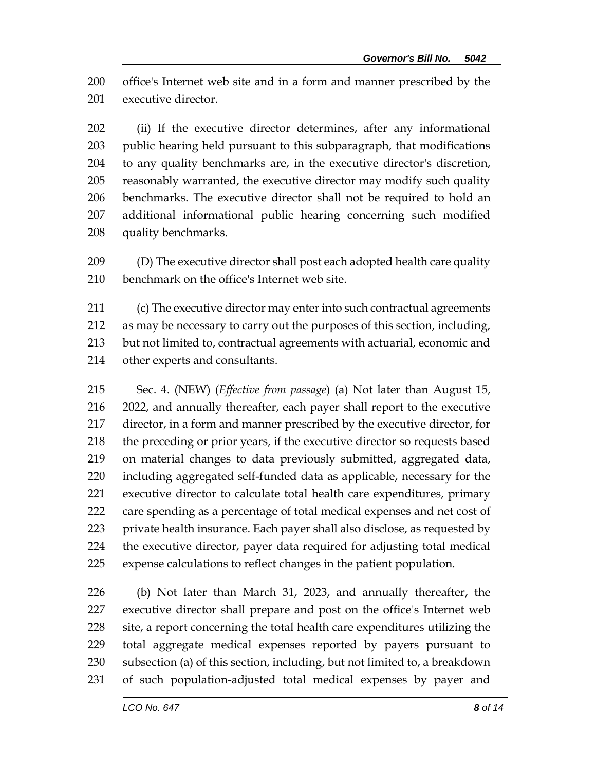office's Internet web site and in a form and manner prescribed by the executive director.

 (ii) If the executive director determines, after any informational public hearing held pursuant to this subparagraph, that modifications to any quality benchmarks are, in the executive director's discretion, reasonably warranted, the executive director may modify such quality benchmarks. The executive director shall not be required to hold an additional informational public hearing concerning such modified quality benchmarks.

 (D) The executive director shall post each adopted health care quality benchmark on the office's Internet web site.

 (c) The executive director may enter into such contractual agreements as may be necessary to carry out the purposes of this section, including, but not limited to, contractual agreements with actuarial, economic and other experts and consultants.

 Sec. 4. (NEW) (*Effective from passage*) (a) Not later than August 15, 2022, and annually thereafter, each payer shall report to the executive director, in a form and manner prescribed by the executive director, for the preceding or prior years, if the executive director so requests based on material changes to data previously submitted, aggregated data, including aggregated self-funded data as applicable, necessary for the executive director to calculate total health care expenditures, primary care spending as a percentage of total medical expenses and net cost of private health insurance. Each payer shall also disclose, as requested by the executive director, payer data required for adjusting total medical expense calculations to reflect changes in the patient population.

 (b) Not later than March 31, 2023, and annually thereafter, the executive director shall prepare and post on the office's Internet web 228 site, a report concerning the total health care expenditures utilizing the total aggregate medical expenses reported by payers pursuant to subsection (a) of this section, including, but not limited to, a breakdown of such population-adjusted total medical expenses by payer and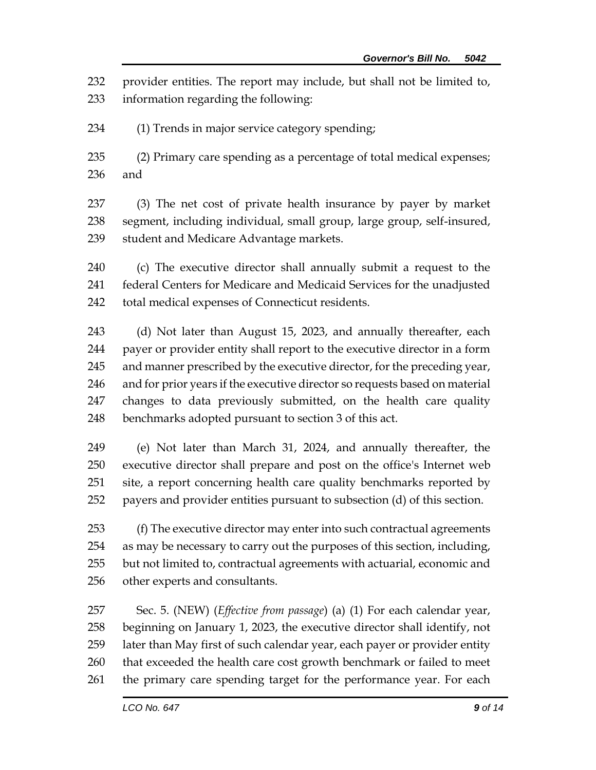provider entities. The report may include, but shall not be limited to, information regarding the following:

(1) Trends in major service category spending;

 (2) Primary care spending as a percentage of total medical expenses; and

 (3) The net cost of private health insurance by payer by market segment, including individual, small group, large group, self-insured, student and Medicare Advantage markets.

 (c) The executive director shall annually submit a request to the federal Centers for Medicare and Medicaid Services for the unadjusted total medical expenses of Connecticut residents.

243 (d) Not later than August 15, 2023, and annually thereafter, each payer or provider entity shall report to the executive director in a form and manner prescribed by the executive director, for the preceding year, and for prior years if the executive director so requests based on material changes to data previously submitted, on the health care quality benchmarks adopted pursuant to section 3 of this act.

 (e) Not later than March 31, 2024, and annually thereafter, the executive director shall prepare and post on the office's Internet web site, a report concerning health care quality benchmarks reported by payers and provider entities pursuant to subsection (d) of this section.

 (f) The executive director may enter into such contractual agreements as may be necessary to carry out the purposes of this section, including, but not limited to, contractual agreements with actuarial, economic and other experts and consultants.

 Sec. 5. (NEW) (*Effective from passage*) (a) (1) For each calendar year, beginning on January 1, 2023, the executive director shall identify, not later than May first of such calendar year, each payer or provider entity 260 that exceeded the health care cost growth benchmark or failed to meet the primary care spending target for the performance year. For each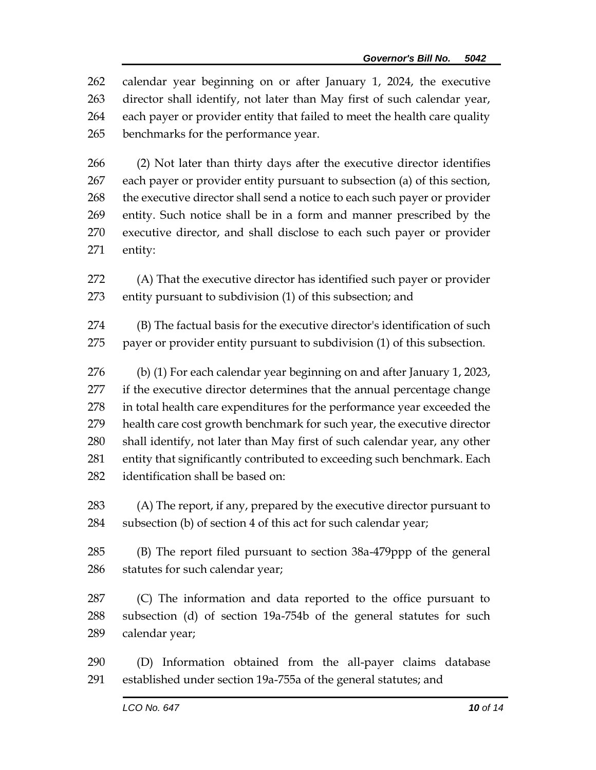calendar year beginning on or after January 1, 2024, the executive director shall identify, not later than May first of such calendar year, each payer or provider entity that failed to meet the health care quality benchmarks for the performance year.

 (2) Not later than thirty days after the executive director identifies each payer or provider entity pursuant to subsection (a) of this section, 268 the executive director shall send a notice to each such payer or provider entity. Such notice shall be in a form and manner prescribed by the executive director, and shall disclose to each such payer or provider entity:

 (A) That the executive director has identified such payer or provider entity pursuant to subdivision (1) of this subsection; and

 (B) The factual basis for the executive director's identification of such payer or provider entity pursuant to subdivision (1) of this subsection.

 (b) (1) For each calendar year beginning on and after January 1, 2023, 277 if the executive director determines that the annual percentage change in total health care expenditures for the performance year exceeded the health care cost growth benchmark for such year, the executive director shall identify, not later than May first of such calendar year, any other entity that significantly contributed to exceeding such benchmark. Each identification shall be based on:

 (A) The report, if any, prepared by the executive director pursuant to subsection (b) of section 4 of this act for such calendar year;

 (B) The report filed pursuant to section 38a-479ppp of the general statutes for such calendar year;

 (C) The information and data reported to the office pursuant to subsection (d) of section 19a-754b of the general statutes for such calendar year;

 (D) Information obtained from the all-payer claims database established under section 19a-755a of the general statutes; and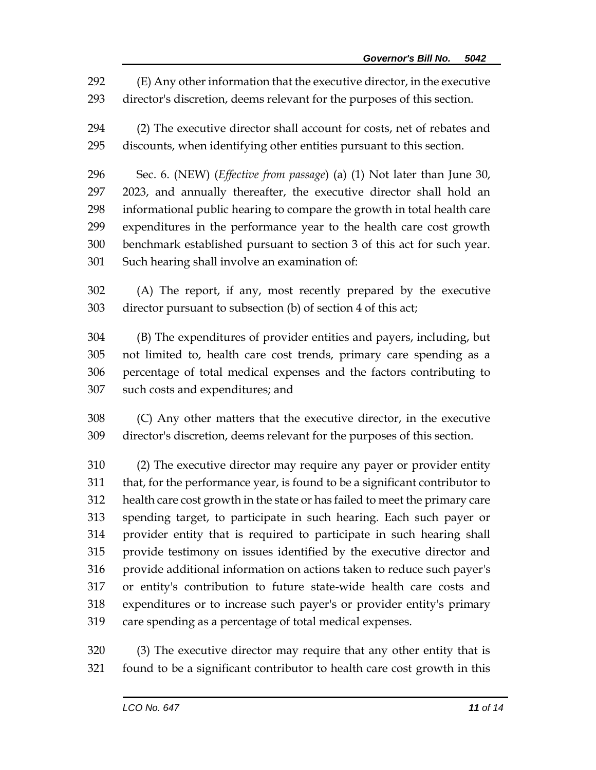(E) Any other information that the executive director, in the executive director's discretion, deems relevant for the purposes of this section.

 (2) The executive director shall account for costs, net of rebates and discounts, when identifying other entities pursuant to this section.

 Sec. 6. (NEW) (*Effective from passage*) (a) (1) Not later than June 30, 2023, and annually thereafter, the executive director shall hold an informational public hearing to compare the growth in total health care expenditures in the performance year to the health care cost growth benchmark established pursuant to section 3 of this act for such year. Such hearing shall involve an examination of:

 (A) The report, if any, most recently prepared by the executive director pursuant to subsection (b) of section 4 of this act;

 (B) The expenditures of provider entities and payers, including, but not limited to, health care cost trends, primary care spending as a percentage of total medical expenses and the factors contributing to such costs and expenditures; and

 (C) Any other matters that the executive director, in the executive director's discretion, deems relevant for the purposes of this section.

 (2) The executive director may require any payer or provider entity that, for the performance year, is found to be a significant contributor to health care cost growth in the state or has failed to meet the primary care spending target, to participate in such hearing. Each such payer or provider entity that is required to participate in such hearing shall provide testimony on issues identified by the executive director and provide additional information on actions taken to reduce such payer's or entity's contribution to future state-wide health care costs and expenditures or to increase such payer's or provider entity's primary care spending as a percentage of total medical expenses.

 (3) The executive director may require that any other entity that is found to be a significant contributor to health care cost growth in this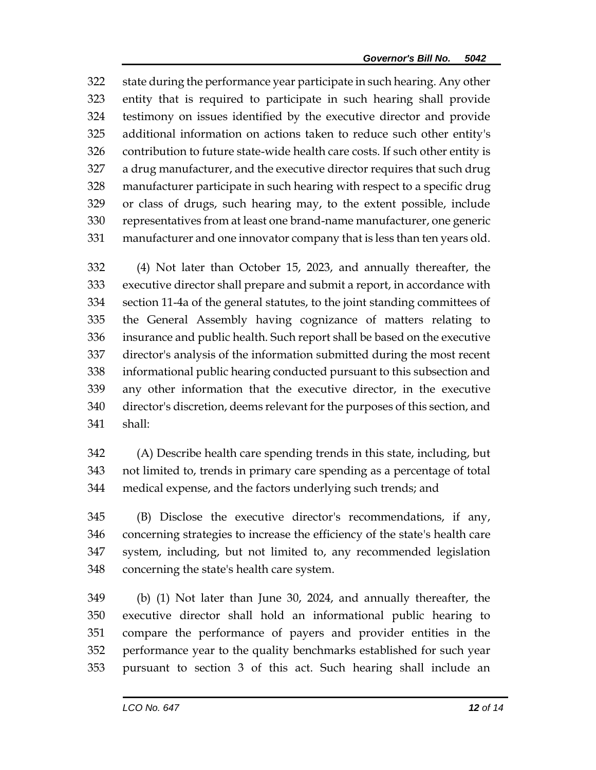state during the performance year participate in such hearing. Any other entity that is required to participate in such hearing shall provide testimony on issues identified by the executive director and provide additional information on actions taken to reduce such other entity's contribution to future state-wide health care costs. If such other entity is a drug manufacturer, and the executive director requires that such drug manufacturer participate in such hearing with respect to a specific drug or class of drugs, such hearing may, to the extent possible, include representatives from at least one brand-name manufacturer, one generic manufacturer and one innovator company that is less than ten years old.

 (4) Not later than October 15, 2023, and annually thereafter, the executive director shall prepare and submit a report, in accordance with section 11-4a of the general statutes, to the joint standing committees of the General Assembly having cognizance of matters relating to insurance and public health. Such report shall be based on the executive director's analysis of the information submitted during the most recent informational public hearing conducted pursuant to this subsection and any other information that the executive director, in the executive director's discretion, deems relevant for the purposes of this section, and shall:

 (A) Describe health care spending trends in this state, including, but not limited to, trends in primary care spending as a percentage of total medical expense, and the factors underlying such trends; and

 (B) Disclose the executive director's recommendations, if any, concerning strategies to increase the efficiency of the state's health care system, including, but not limited to, any recommended legislation concerning the state's health care system.

 (b) (1) Not later than June 30, 2024, and annually thereafter, the executive director shall hold an informational public hearing to compare the performance of payers and provider entities in the performance year to the quality benchmarks established for such year pursuant to section 3 of this act. Such hearing shall include an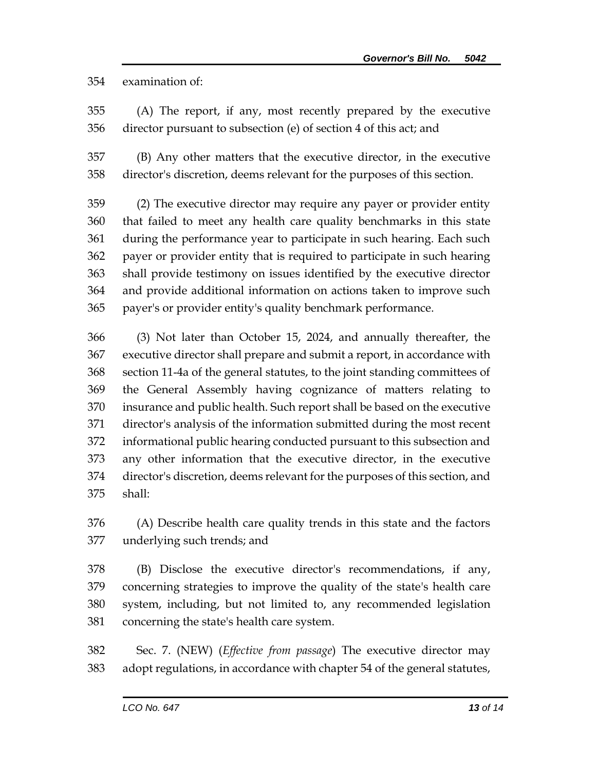examination of:

- (A) The report, if any, most recently prepared by the executive director pursuant to subsection (e) of section 4 of this act; and
- (B) Any other matters that the executive director, in the executive director's discretion, deems relevant for the purposes of this section.
- (2) The executive director may require any payer or provider entity that failed to meet any health care quality benchmarks in this state during the performance year to participate in such hearing. Each such payer or provider entity that is required to participate in such hearing shall provide testimony on issues identified by the executive director and provide additional information on actions taken to improve such payer's or provider entity's quality benchmark performance.

 (3) Not later than October 15, 2024, and annually thereafter, the executive director shall prepare and submit a report, in accordance with section 11-4a of the general statutes, to the joint standing committees of the General Assembly having cognizance of matters relating to insurance and public health. Such report shall be based on the executive director's analysis of the information submitted during the most recent informational public hearing conducted pursuant to this subsection and any other information that the executive director, in the executive director's discretion, deems relevant for the purposes of this section, and shall:

 (A) Describe health care quality trends in this state and the factors underlying such trends; and

- (B) Disclose the executive director's recommendations, if any, concerning strategies to improve the quality of the state's health care system, including, but not limited to, any recommended legislation concerning the state's health care system.
- Sec. 7. (NEW) (*Effective from passage*) The executive director may adopt regulations, in accordance with chapter 54 of the general statutes,